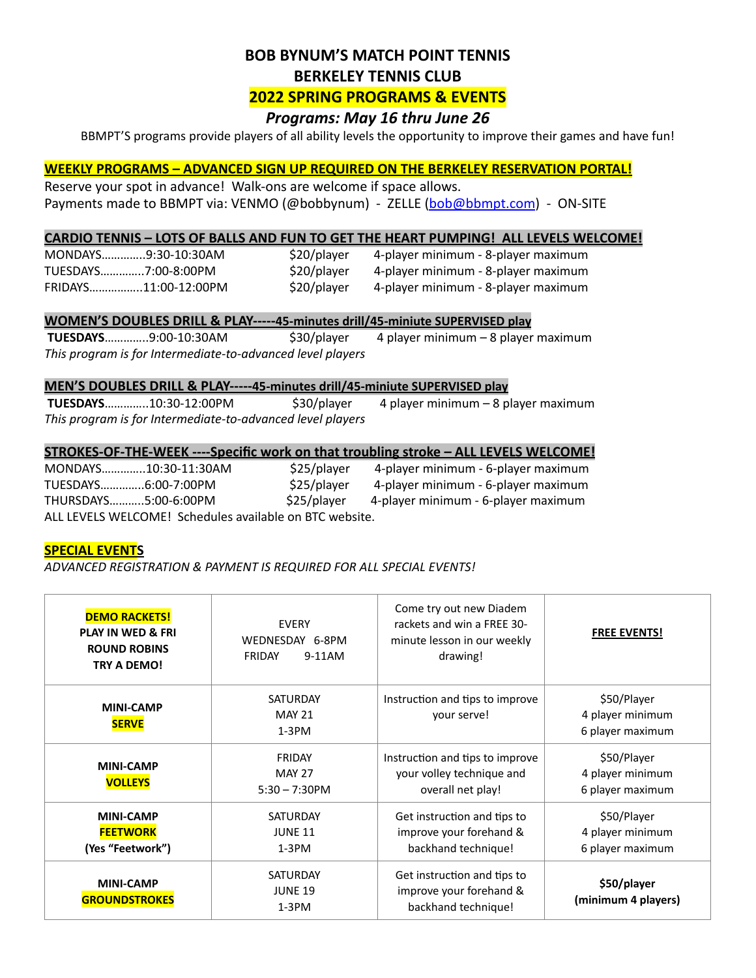# **BOB BYNUM'S MATCH POINT TENNIS BERKELEY TENNIS CLUB**

# **2022 SPRING PROGRAMS & EVENTS**

# **Programs: May 16 thru June 26**

BBMPT'S programs provide players of all ability levels the opportunity to improve their games and have fun!

#### **WEEKLY PROGRAMS - ADVANCED SIGN UP REQUIRED ON THE BERKELEY RESERVATION PORTAL!**

Reserve your spot in advance! Walk-ons are welcome if space allows. Payments made to BBMPT via: VENMO (@bobbynum) - ZELLE ([bob@bbmpt.com\)](mailto:bob@bbmpt.com) - ON-SITE

#### **CARDIO TENNIS - LOTS OF BALLS AND FUN TO GET THE HEART PUMPING! ALL LEVELS WELCOME!**

|                     | MONDAYS9:30-10:30AM  |
|---------------------|----------------------|
| TUESDAYS7:00-8:00PM |                      |
|                     | FRIDAYS11:00-12:00PM |

 $$20/p$ layer 4-player minimum - 8-player maximum \$20/player 4-player minimum - 8-player maximum

A shall player 4-player minimum - 8-player maximum

### **WOMEN'S DOUBLES DRILL & PLAY-----45-minutes drill/45-miniute SUPERVISED play**

 **TUESDAYS**…………..9:00-10:30AM \$30/player 4 player minimum – 8 player maximum This program is for Intermediate-to-advanced level players

### **MEN'S DOUBLES DRILL & PLAY-----45-minutes drill/45-miniute SUPERVISED play**

 **TUESDAYS**…………..10:30-12:00PM \$30/player 4 player minimum – 8 player maximum This program is for Intermediate-to-advanced level players

### STROKES-OF-THE-WEEK ----Specific work on that troubling stroke - ALL LEVELS WELCOME!

| MONDAYS10:30-11:30AM |                                                         | \$25/player | 4-player minimum - 6-player maximum |
|----------------------|---------------------------------------------------------|-------------|-------------------------------------|
| TUESDAYS6:00-7:00PM  |                                                         | \$25/player | 4-player minimum - 6-player maximum |
| THURSDAYS5:00-6:00PM |                                                         | \$25/player | 4-player minimum - 6-player maximum |
|                      | ALL LEVELS WELCOME! Schedules available on BTC website. |             |                                     |

#### **SPECIAL EVENTS**

ADVANCED REGISTRATION & PAYMENT IS REQUIRED FOR ALL SPECIAL EVENTS!

| <b>DEMO RACKETS!</b><br><b>PLAY IN WED &amp; FRI</b><br><b>ROUND ROBINS</b><br>TRY A DEMO! | <b>EVERY</b><br>WEDNESDAY 6-8PM<br>FRIDAY<br>9-11AM | Come try out new Diadem<br>rackets and win a FREE 30-<br>minute lesson in our weekly<br>drawing! | <b>FREE EVENTS!</b>                                 |
|--------------------------------------------------------------------------------------------|-----------------------------------------------------|--------------------------------------------------------------------------------------------------|-----------------------------------------------------|
| <b>MINI-CAMP</b><br><b>SERVE</b>                                                           | <b>SATURDAY</b><br><b>MAY 21</b><br>$1-3PM$         | Instruction and tips to improve<br>your serve!                                                   | \$50/Player<br>4 player minimum<br>6 player maximum |
| <b>MINI-CAMP</b><br><b>VOLLEYS</b>                                                         | FRIDAY<br><b>MAY 27</b><br>$5:30 - 7:30$ PM         | Instruction and tips to improve<br>your volley technique and<br>overall net play!                |                                                     |
| <b>MINI-CAMP</b><br><b>FEETWORK</b><br>(Yes "Feetwork")                                    | <b>SATURDAY</b><br><b>JUNE 11</b><br>$1-3PM$        | Get instruction and tips to<br>improve your forehand &<br>backhand technique!                    | \$50/Player<br>4 player minimum<br>6 player maximum |
| <b>MINI-CAMP</b><br><b>GROUNDSTROKES</b>                                                   | <b>SATURDAY</b><br><b>JUNE 19</b><br>$1-3PM$        | Get instruction and tips to<br>improve your forehand &<br>backhand technique!                    | \$50/player<br>(minimum 4 players)                  |